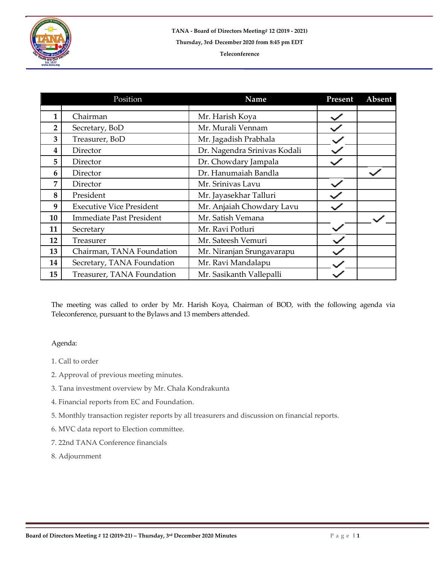

## **Teleconference**

|                | Position                        | Name                         | Present | Absent |
|----------------|---------------------------------|------------------------------|---------|--------|
| $\mathbf{1}$   | Chairman                        | Mr. Harish Koya              |         |        |
| $\overline{2}$ | Secretary, BoD                  | Mr. Murali Vennam            |         |        |
| 3              | Treasurer, BoD                  | Mr. Jagadish Prabhala        |         |        |
| 4              | Director                        | Dr. Nagendra Srinivas Kodali |         |        |
| 5              | Director                        | Dr. Chowdary Jampala         |         |        |
| 6              | Director                        | Dr. Hanumaiah Bandla         |         |        |
| $\overline{7}$ | Director                        | Mr. Srinivas Lavu            |         |        |
| 8              | President                       | Mr. Jayasekhar Talluri       |         |        |
| 9              | <b>Executive Vice President</b> | Mr. Anjaiah Chowdary Lavu    |         |        |
| 10             | <b>Immediate Past President</b> | Mr. Satish Vemana            |         |        |
| 11             | Secretary                       | Mr. Ravi Potluri             |         |        |
| 12             | Treasurer                       | Mr. Sateesh Vemuri           |         |        |
| 13             | Chairman, TANA Foundation       | Mr. Niranjan Srungavarapu    |         |        |
| 14             | Secretary, TANA Foundation      | Mr. Ravi Mandalapu           |         |        |
| 15             | Treasurer, TANA Foundation      | Mr. Sasikanth Vallepalli     |         |        |

The meeting was called to order by Mr. Harish Koya, Chairman of BOD, with the following agenda via Teleconference, pursuant to the Bylaws and 13 members attended.

## Agenda:

- 1. Call to order
- 2. Approval of previous meeting minutes.
- 3. Tana investment overview by Mr. Chala Kondrakunta
- 4. Financial reports from EC and Foundation.
- 5. Monthly transaction register reports by all treasurers and discussion on financial reports.
- 6. MVC data report to Election committee.
- 7. 22nd TANA Conference financials
- 8. Adjournment